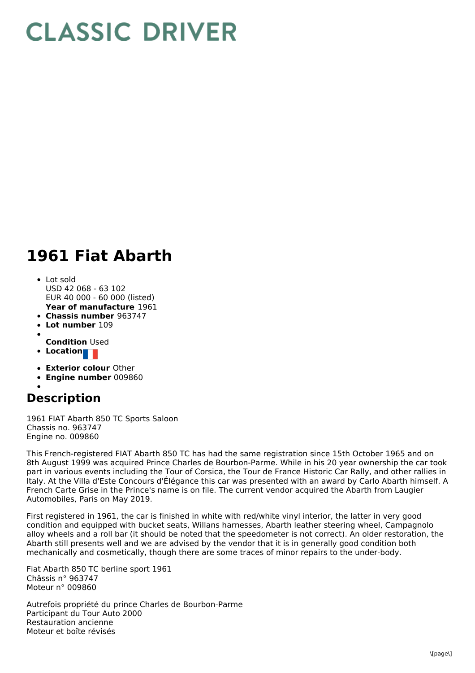## **CLASSIC DRIVER**

## **1961 Fiat Abarth**

- **Year of manufacture** 1961 Lot sold USD 42 068 - 63 102 EUR 40 000 - 60 000 (listed)
- **Chassis number** 963747
- **Lot number** 109
- 
- **Condition** Used
- **Location**
- **Exterior colour** Other
- **Engine number** 009860

## **Description**

1961 FIAT Abarth 850 TC Sports Saloon Chassis no. 963747 Engine no. 009860

This French-registered FIAT Abarth 850 TC has had the same registration since 15th October 1965 and on 8th August 1999 was acquired Prince Charles de Bourbon-Parme. While in his 20 year ownership the car took part in various events including the Tour of Corsica, the Tour de France Historic Car Rally, and other rallies in Italy. At the Villa d'Este Concours d'Élégance this car was presented with an award by Carlo Abarth himself. A French Carte Grise in the Prince's name is on file. The current vendor acquired the Abarth from Laugier Automobiles, Paris on May 2019.

First registered in 1961, the car is finished in white with red/white vinyl interior, the latter in very good condition and equipped with bucket seats, Willans harnesses, Abarth leather steering wheel, Campagnolo alloy wheels and a roll bar (it should be noted that the speedometer is not correct). An older restoration, the Abarth still presents well and we are advised by the vendor that it is in generally good condition both mechanically and cosmetically, though there are some traces of minor repairs to the under-body.

Fiat Abarth 850 TC berline sport 1961 Châssis n° 963747 Moteur n° 009860

Autrefois propriété du prince Charles de Bourbon-Parme Participant du Tour Auto 2000 Restauration ancienne Moteur et boîte révisés